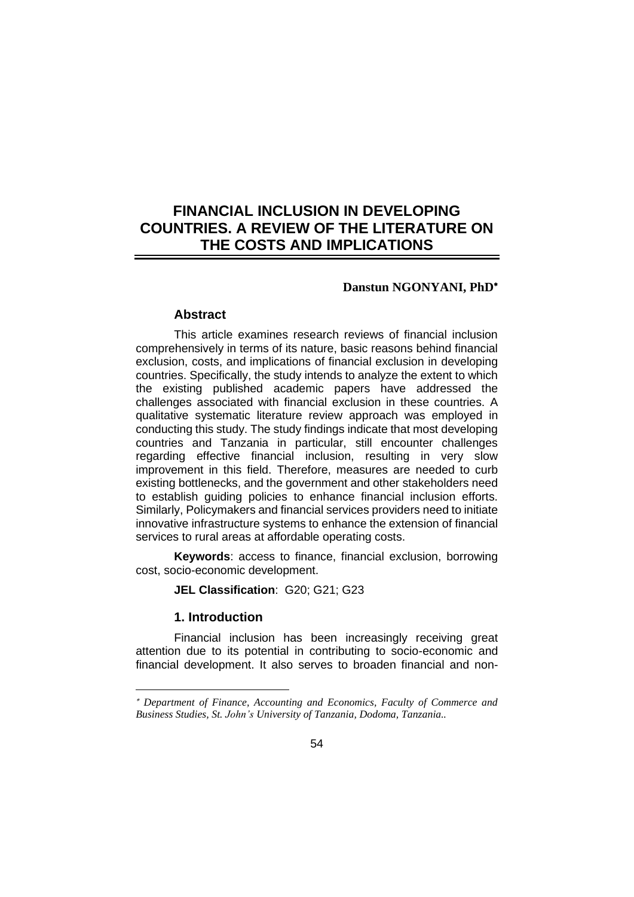# **FINANCIAL INCLUSION IN DEVELOPING COUNTRIES. A REVIEW OF THE LITERATURE ON THE COSTS AND IMPLICATIONS**

## **Danstun NGONYANI, PhD**

#### **Abstract**

This article examines research reviews of financial inclusion comprehensively in terms of its nature, basic reasons behind financial exclusion, costs, and implications of financial exclusion in developing countries. Specifically, the study intends to analyze the extent to which the existing published academic papers have addressed the challenges associated with financial exclusion in these countries. A qualitative systematic literature review approach was employed in conducting this study. The study findings indicate that most developing countries and Tanzania in particular, still encounter challenges regarding effective financial inclusion, resulting in very slow improvement in this field. Therefore, measures are needed to curb existing bottlenecks, and the government and other stakeholders need to establish guiding policies to enhance financial inclusion efforts. Similarly, Policymakers and financial services providers need to initiate innovative infrastructure systems to enhance the extension of financial services to rural areas at affordable operating costs.

**Keywords**: access to finance, financial exclusion, borrowing cost, socio-economic development.

**JEL Classification**: G20; G21; G23

## **1. Introduction**

Financial inclusion has been increasingly receiving great attention due to its potential in contributing to socio-economic and financial development. It also serves to broaden financial and non-

*Department of Finance, Accounting and Economics, Faculty of Commerce and Business Studies, St. John's University of Tanzania, Dodoma, Tanzania..*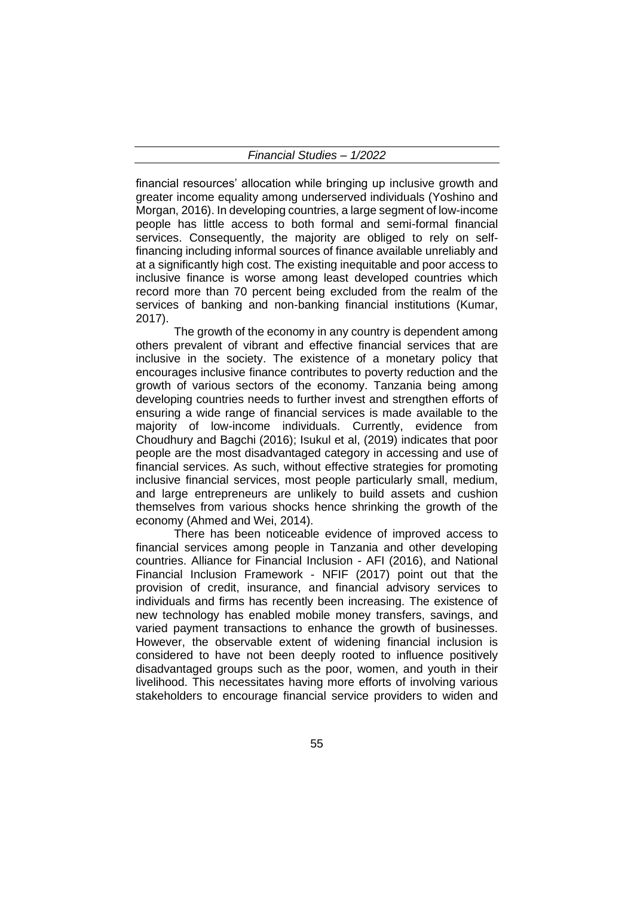financial resources' allocation while bringing up inclusive growth and greater income equality among underserved individuals (Yoshino and Morgan, 2016). In developing countries, a large segment of low-income people has little access to both formal and semi-formal financial services. Consequently, the majority are obliged to rely on selffinancing including informal sources of finance available unreliably and at a significantly high cost. The existing inequitable and poor access to inclusive finance is worse among least developed countries which record more than 70 percent being excluded from the realm of the services of banking and non-banking financial institutions (Kumar, 2017).

The growth of the economy in any country is dependent among others prevalent of vibrant and effective financial services that are inclusive in the society. The existence of a monetary policy that encourages inclusive finance contributes to poverty reduction and the growth of various sectors of the economy. Tanzania being among developing countries needs to further invest and strengthen efforts of ensuring a wide range of financial services is made available to the majority of low-income individuals. Currently, evidence from Choudhury and Bagchi (2016); Isukul et al, (2019) indicates that poor people are the most disadvantaged category in accessing and use of financial services. As such, without effective strategies for promoting inclusive financial services, most people particularly small, medium, and large entrepreneurs are unlikely to build assets and cushion themselves from various shocks hence shrinking the growth of the economy (Ahmed and Wei, 2014).

There has been noticeable evidence of improved access to financial services among people in Tanzania and other developing countries. Alliance for Financial Inclusion - AFI (2016), and National Financial Inclusion Framework - NFIF (2017) point out that the provision of credit, insurance, and financial advisory services to individuals and firms has recently been increasing. The existence of new technology has enabled mobile money transfers, savings, and varied payment transactions to enhance the growth of businesses. However, the observable extent of widening financial inclusion is considered to have not been deeply rooted to influence positively disadvantaged groups such as the poor, women, and youth in their livelihood. This necessitates having more efforts of involving various stakeholders to encourage financial service providers to widen and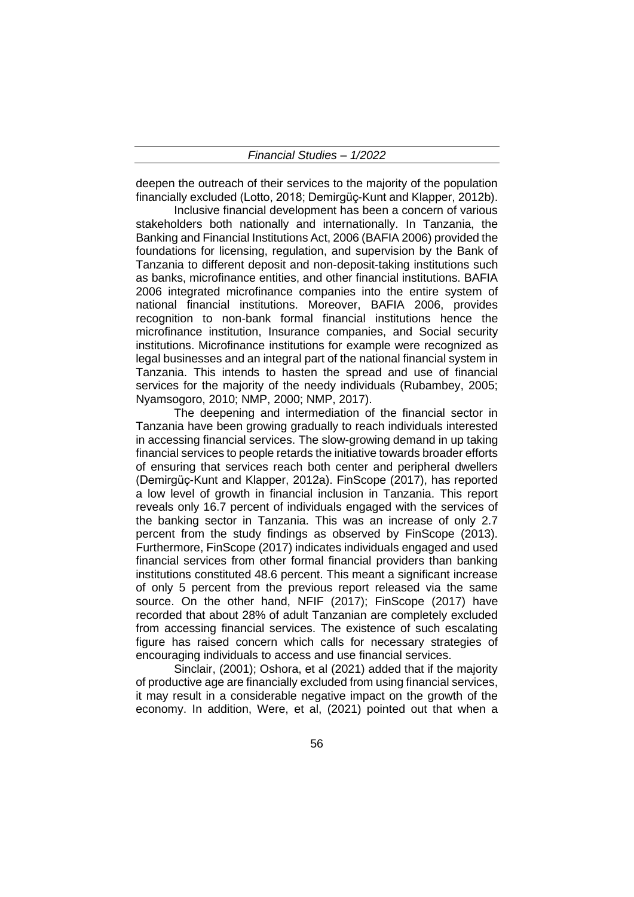deepen the outreach of their services to the majority of the population financially excluded (Lotto, 2018; Demirgüç-Kunt and Klapper, 2012b).

Inclusive financial development has been a concern of various stakeholders both nationally and internationally. In Tanzania, the Banking and Financial Institutions Act, 2006 (BAFIA 2006) provided the foundations for licensing, regulation, and supervision by the Bank of Tanzania to different deposit and non-deposit-taking institutions such as banks, microfinance entities, and other financial institutions. BAFIA 2006 integrated microfinance companies into the entire system of national financial institutions. Moreover, BAFIA 2006, provides recognition to non-bank formal financial institutions hence the microfinance institution, Insurance companies, and Social security institutions. Microfinance institutions for example were recognized as legal businesses and an integral part of the national financial system in Tanzania. This intends to hasten the spread and use of financial services for the majority of the needy individuals (Rubambey, 2005; Nyamsogoro, 2010; NMP, 2000; NMP, 2017).

The deepening and intermediation of the financial sector in Tanzania have been growing gradually to reach individuals interested in accessing financial services. The slow-growing demand in up taking financial services to people retards the initiative towards broader efforts of ensuring that services reach both center and peripheral dwellers (Demirgüç-Kunt and Klapper, 2012a). FinScope (2017), has reported a low level of growth in financial inclusion in Tanzania. This report reveals only 16.7 percent of individuals engaged with the services of the banking sector in Tanzania. This was an increase of only 2.7 percent from the study findings as observed by FinScope (2013). Furthermore, FinScope (2017) indicates individuals engaged and used financial services from other formal financial providers than banking institutions constituted 48.6 percent. This meant a significant increase of only 5 percent from the previous report released via the same source. On the other hand, NFIF (2017); FinScope (2017) have recorded that about 28% of adult Tanzanian are completely excluded from accessing financial services. The existence of such escalating figure has raised concern which calls for necessary strategies of encouraging individuals to access and use financial services.

Sinclair, (2001); Oshora, et al (2021) added that if the majority of productive age are financially excluded from using financial services, it may result in a considerable negative impact on the growth of the economy. In addition, Were, et al, (2021) pointed out that when a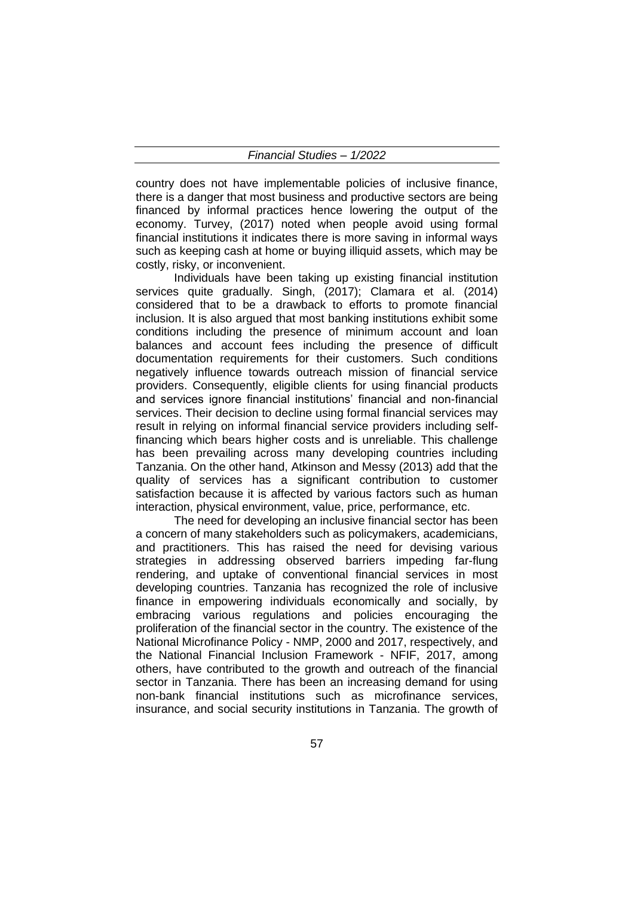country does not have implementable policies of inclusive finance, there is a danger that most business and productive sectors are being financed by informal practices hence lowering the output of the economy. Turvey, (2017) noted when people avoid using formal financial institutions it indicates there is more saving in informal ways such as keeping cash at home or buying illiquid assets, which may be costly, risky, or inconvenient.

Individuals have been taking up existing financial institution services quite gradually. Singh, (2017); Clamara et al. (2014) considered that to be a drawback to efforts to promote financial inclusion. It is also argued that most banking institutions exhibit some conditions including the presence of minimum account and loan balances and account fees including the presence of difficult documentation requirements for their customers. Such conditions negatively influence towards outreach mission of financial service providers. Consequently, eligible clients for using financial products and services ignore financial institutions' financial and non-financial services. Their decision to decline using formal financial services may result in relying on informal financial service providers including selffinancing which bears higher costs and is unreliable. This challenge has been prevailing across many developing countries including Tanzania. On the other hand, Atkinson and Messy (2013) add that the quality of services has a significant contribution to customer satisfaction because it is affected by various factors such as human interaction, physical environment, value, price, performance, etc.

The need for developing an inclusive financial sector has been a concern of many stakeholders such as policymakers, academicians, and practitioners. This has raised the need for devising various strategies in addressing observed barriers impeding far-flung rendering, and uptake of conventional financial services in most developing countries. Tanzania has recognized the role of inclusive finance in empowering individuals economically and socially, by embracing various regulations and policies encouraging the proliferation of the financial sector in the country. The existence of the National Microfinance Policy - NMP, 2000 and 2017, respectively, and the National Financial Inclusion Framework - NFIF, 2017, among others, have contributed to the growth and outreach of the financial sector in Tanzania. There has been an increasing demand for using non-bank financial institutions such as microfinance services, insurance, and social security institutions in Tanzania. The growth of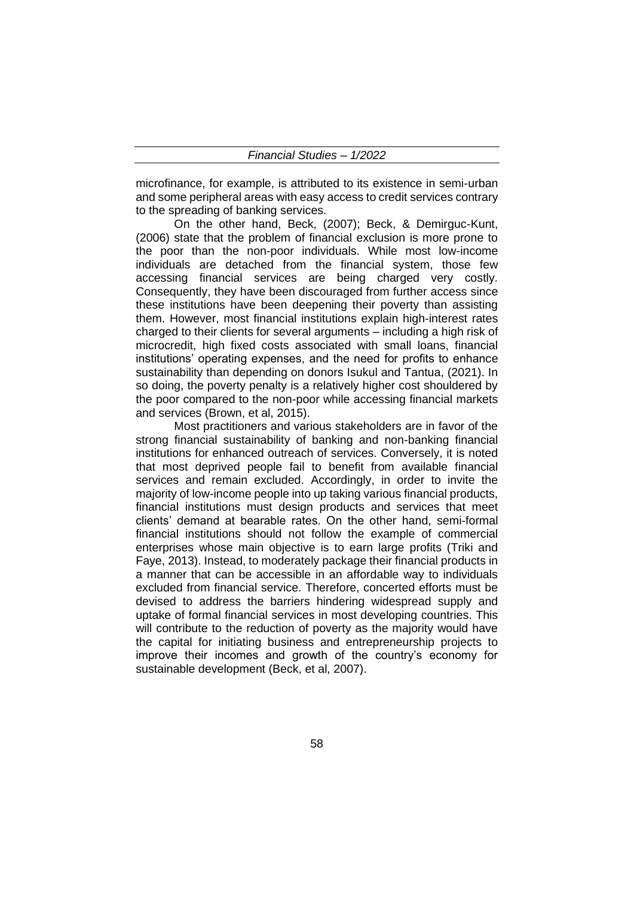microfinance, for example, is attributed to its existence in semi-urban and some peripheral areas with easy access to credit services contrary to the spreading of banking services.

On the other hand, Beck, (2007); Beck, & Demirguc-Kunt, (2006) state that the problem of financial exclusion is more prone to the poor than the non-poor individuals. While most low-income individuals are detached from the financial system, those few accessing financial services are being charged very costly. Consequently, they have been discouraged from further access since these institutions have been deepening their poverty than assisting them. However, most financial institutions explain high-interest rates charged to their clients for several arguments – including a high risk of microcredit, high fixed costs associated with small loans, financial institutions' operating expenses, and the need for profits to enhance sustainability than depending on donors Isukul and Tantua, (2021). In so doing, the poverty penalty is a relatively higher cost shouldered by the poor compared to the non-poor while accessing financial markets and services (Brown, et al, 2015).

Most practitioners and various stakeholders are in favor of the strong financial sustainability of banking and non-banking financial institutions for enhanced outreach of services. Conversely, it is noted that most deprived people fail to benefit from available financial services and remain excluded. Accordingly, in order to invite the majority of low-income people into up taking various financial products, financial institutions must design products and services that meet clients' demand at bearable rates. On the other hand, semi-formal financial institutions should not follow the example of commercial enterprises whose main objective is to earn large profits (Triki and Faye, 2013). Instead, to moderately package their financial products in a manner that can be accessible in an affordable way to individuals excluded from financial service. Therefore, concerted efforts must be devised to address the barriers hindering widespread supply and uptake of formal financial services in most developing countries. This will contribute to the reduction of poverty as the majority would have the capital for initiating business and entrepreneurship projects to improve their incomes and growth of the country's economy for sustainable development (Beck, et al, 2007).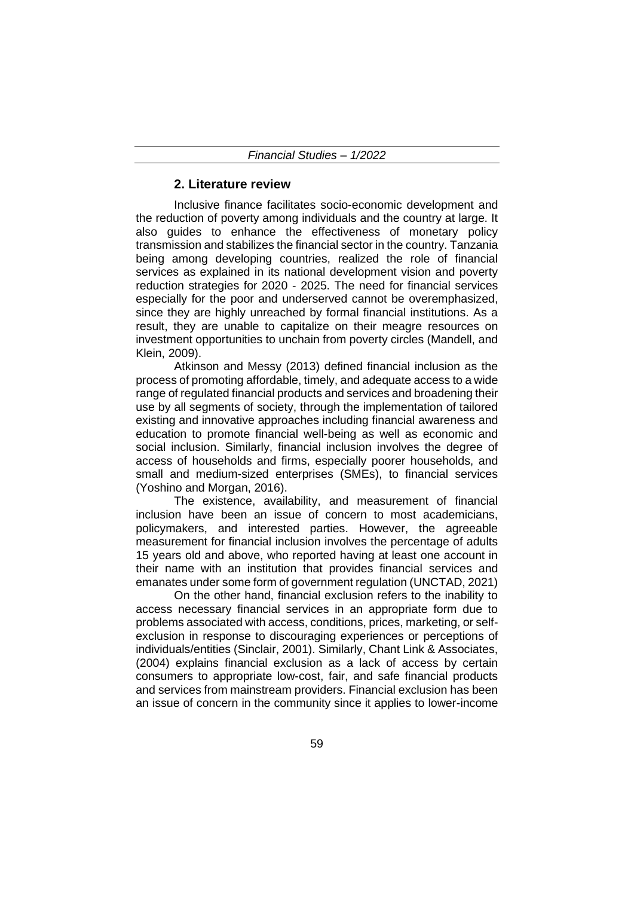## **2. Literature review**

Inclusive finance facilitates socio-economic development and the reduction of poverty among individuals and the country at large. It also guides to enhance the effectiveness of monetary policy transmission and stabilizes the financial sector in the country. Tanzania being among developing countries, realized the role of financial services as explained in its national development vision and poverty reduction strategies for 2020 - 2025. The need for financial services especially for the poor and underserved cannot be overemphasized, since they are highly unreached by formal financial institutions. As a result, they are unable to capitalize on their meagre resources on investment opportunities to unchain from poverty circles (Mandell, and Klein, 2009).

Atkinson and Messy (2013) defined financial inclusion as the process of promoting affordable, timely, and adequate access to a wide range of regulated financial products and services and broadening their use by all segments of society, through the implementation of tailored existing and innovative approaches including financial awareness and education to promote financial well-being as well as economic and social inclusion. Similarly, financial inclusion involves the degree of access of households and firms, especially poorer households, and small and medium-sized enterprises (SMEs), to financial services (Yoshino and Morgan, 2016).

The existence, availability, and measurement of financial inclusion have been an issue of concern to most academicians, policymakers, and interested parties. However, the agreeable measurement for financial inclusion involves the percentage of adults 15 years old and above, who reported having at least one account in their name with an institution that provides financial services and emanates under some form of government regulation (UNCTAD, 2021)

On the other hand, financial exclusion refers to the inability to access necessary financial services in an appropriate form due to problems associated with access, conditions, prices, marketing, or selfexclusion in response to discouraging experiences or perceptions of individuals/entities (Sinclair, 2001). Similarly, Chant Link & Associates, (2004) explains financial exclusion as a lack of access by certain consumers to appropriate low-cost, fair, and safe financial products and services from mainstream providers. Financial exclusion has been an issue of concern in the community since it applies to lower-income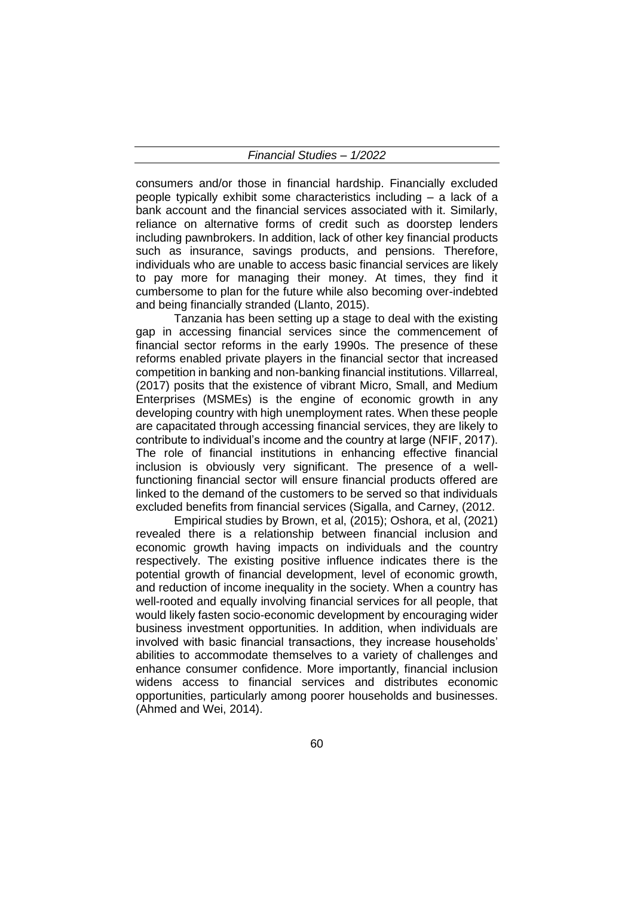consumers and/or those in financial hardship. Financially excluded people typically exhibit some characteristics including – a lack of a bank account and the financial services associated with it. Similarly, reliance on alternative forms of credit such as doorstep lenders including pawnbrokers. In addition, lack of other key financial products such as insurance, savings products, and pensions. Therefore, individuals who are unable to access basic financial services are likely to pay more for managing their money. At times, they find it cumbersome to plan for the future while also becoming over-indebted and being financially stranded (Llanto, 2015).

Tanzania has been setting up a stage to deal with the existing gap in accessing financial services since the commencement of financial sector reforms in the early 1990s. The presence of these reforms enabled private players in the financial sector that increased competition in banking and non-banking financial institutions. Villarreal, (2017) posits that the existence of vibrant Micro, Small, and Medium Enterprises (MSMEs) is the engine of economic growth in any developing country with high unemployment rates. When these people are capacitated through accessing financial services, they are likely to contribute to individual's income and the country at large (NFIF, 2017). The role of financial institutions in enhancing effective financial inclusion is obviously very significant. The presence of a wellfunctioning financial sector will ensure financial products offered are linked to the demand of the customers to be served so that individuals excluded benefits from financial services (Sigalla, and Carney, (2012.

Empirical studies by Brown, et al, (2015); Oshora, et al, (2021) revealed there is a relationship between financial inclusion and economic growth having impacts on individuals and the country respectively. The existing positive influence indicates there is the potential growth of financial development, level of economic growth, and reduction of income inequality in the society. When a country has well-rooted and equally involving financial services for all people, that would likely fasten socio-economic development by encouraging wider business investment opportunities. In addition, when individuals are involved with basic financial transactions, they increase households' abilities to accommodate themselves to a variety of challenges and enhance consumer confidence. More importantly, financial inclusion widens access to financial services and distributes economic opportunities, particularly among poorer households and businesses. (Ahmed and Wei, 2014).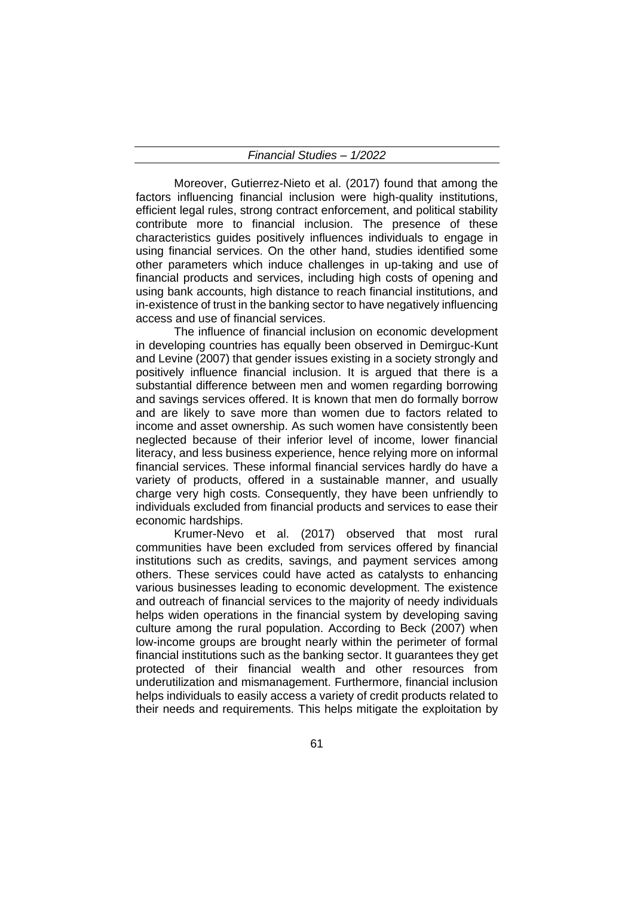Moreover, Gutierrez-Nieto et al. (2017) found that among the factors influencing financial inclusion were high-quality institutions, efficient legal rules, strong contract enforcement, and political stability contribute more to financial inclusion. The presence of these characteristics guides positively influences individuals to engage in using financial services. On the other hand, studies identified some other parameters which induce challenges in up-taking and use of financial products and services, including high costs of opening and using bank accounts, high distance to reach financial institutions, and in-existence of trust in the banking sector to have negatively influencing access and use of financial services.

The influence of financial inclusion on economic development in developing countries has equally been observed in Demirguc-Kunt and Levine (2007) that gender issues existing in a society strongly and positively influence financial inclusion. It is argued that there is a substantial difference between men and women regarding borrowing and savings services offered. It is known that men do formally borrow and are likely to save more than women due to factors related to income and asset ownership. As such women have consistently been neglected because of their inferior level of income, lower financial literacy, and less business experience, hence relying more on informal financial services. These informal financial services hardly do have a variety of products, offered in a sustainable manner, and usually charge very high costs. Consequently, they have been unfriendly to individuals excluded from financial products and services to ease their economic hardships.

Krumer-Nevo et al. (2017) observed that most rural communities have been excluded from services offered by financial institutions such as credits, savings, and payment services among others. These services could have acted as catalysts to enhancing various businesses leading to economic development. The existence and outreach of financial services to the majority of needy individuals helps widen operations in the financial system by developing saving culture among the rural population. According to Beck (2007) when low-income groups are brought nearly within the perimeter of formal financial institutions such as the banking sector. It guarantees they get protected of their financial wealth and other resources from underutilization and mismanagement. Furthermore, financial inclusion helps individuals to easily access a variety of credit products related to their needs and requirements. This helps mitigate the exploitation by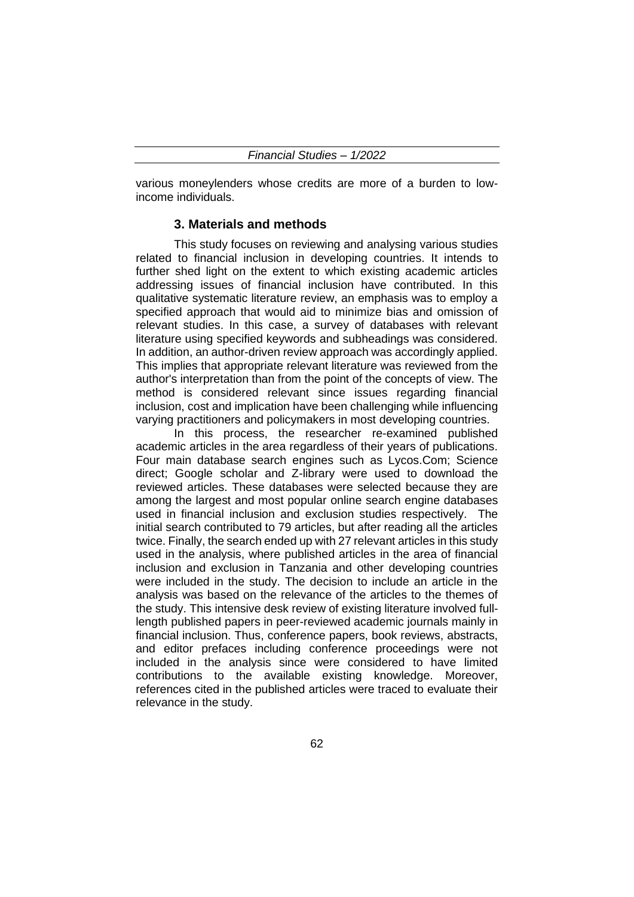various moneylenders whose credits are more of a burden to lowincome individuals.

#### **3. Materials and methods**

This study focuses on reviewing and analysing various studies related to financial inclusion in developing countries. It intends to further shed light on the extent to which existing academic articles addressing issues of financial inclusion have contributed. In this qualitative systematic literature review, an emphasis was to employ a specified approach that would aid to minimize bias and omission of relevant studies. In this case, a survey of databases with relevant literature using specified keywords and subheadings was considered. In addition, an author-driven review approach was accordingly applied. This implies that appropriate relevant literature was reviewed from the author's interpretation than from the point of the concepts of view. The method is considered relevant since issues regarding financial inclusion, cost and implication have been challenging while influencing varying practitioners and policymakers in most developing countries.

In this process, the researcher re-examined published academic articles in the area regardless of their years of publications. Four main database search engines such as Lycos.Com; Science direct; Google scholar and Z-library were used to download the reviewed articles. These databases were selected because they are among the largest and most popular online search engine databases used in financial inclusion and exclusion studies respectively. The initial search contributed to 79 articles, but after reading all the articles twice. Finally, the search ended up with 27 relevant articles in this study used in the analysis, where published articles in the area of financial inclusion and exclusion in Tanzania and other developing countries were included in the study. The decision to include an article in the analysis was based on the relevance of the articles to the themes of the study. This intensive desk review of existing literature involved fulllength published papers in peer-reviewed academic journals mainly in financial inclusion. Thus, conference papers, book reviews, abstracts, and editor prefaces including conference proceedings were not included in the analysis since were considered to have limited contributions to the available existing knowledge. Moreover, references cited in the published articles were traced to evaluate their relevance in the study.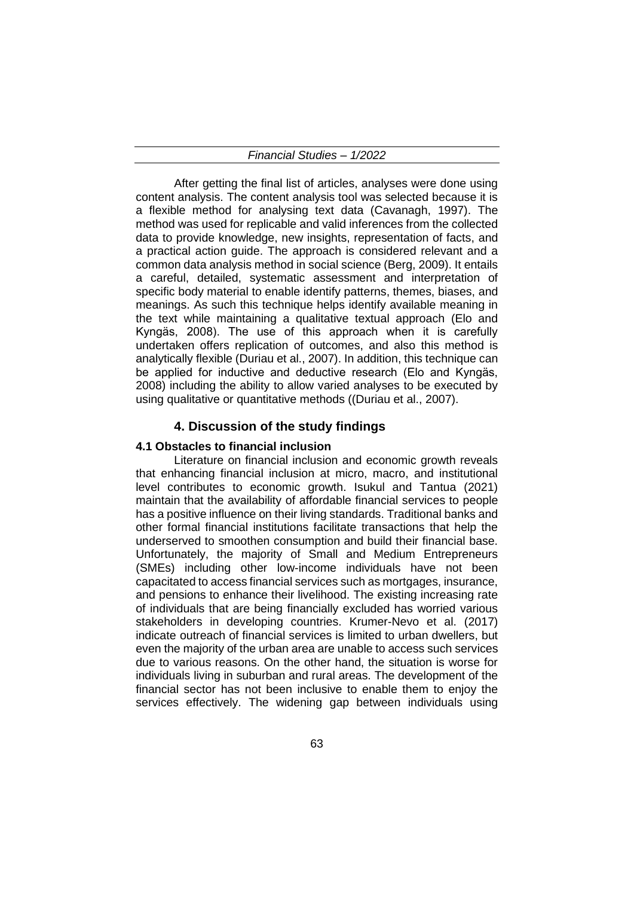After getting the final list of articles, analyses were done using content analysis. The content analysis tool was selected because it is a flexible method for analysing text data (Cavanagh, 1997). The method was used for replicable and valid inferences from the collected data to provide knowledge, new insights, representation of facts, and a practical action guide. The approach is considered relevant and a common data analysis method in social science (Berg, 2009). It entails a careful, detailed, systematic assessment and interpretation of specific body material to enable identify patterns, themes, biases, and meanings. As such this technique helps identify available meaning in the text while maintaining a qualitative textual approach (Elo and Kyngäs, 2008). The use of this approach when it is carefully undertaken offers replication of outcomes, and also this method is analytically flexible (Duriau et al., 2007). In addition, this technique can be applied for inductive and deductive research (Elo and Kyngäs, 2008) including the ability to allow varied analyses to be executed by using qualitative or quantitative methods ((Duriau et al., 2007).

## **4. Discussion of the study findings**

#### **4.1 Obstacles to financial inclusion**

Literature on financial inclusion and economic growth reveals that enhancing financial inclusion at micro, macro, and institutional level contributes to economic growth. Isukul and Tantua (2021) maintain that the availability of affordable financial services to people has a positive influence on their living standards. Traditional banks and other formal financial institutions facilitate transactions that help the underserved to smoothen consumption and build their financial base. Unfortunately, the majority of Small and Medium Entrepreneurs (SMEs) including other low-income individuals have not been capacitated to access financial services such as mortgages, insurance, and pensions to enhance their livelihood. The existing increasing rate of individuals that are being financially excluded has worried various stakeholders in developing countries. Krumer-Nevo et al. (2017) indicate outreach of financial services is limited to urban dwellers, but even the majority of the urban area are unable to access such services due to various reasons. On the other hand, the situation is worse for individuals living in suburban and rural areas. The development of the financial sector has not been inclusive to enable them to enjoy the services effectively. The widening gap between individuals using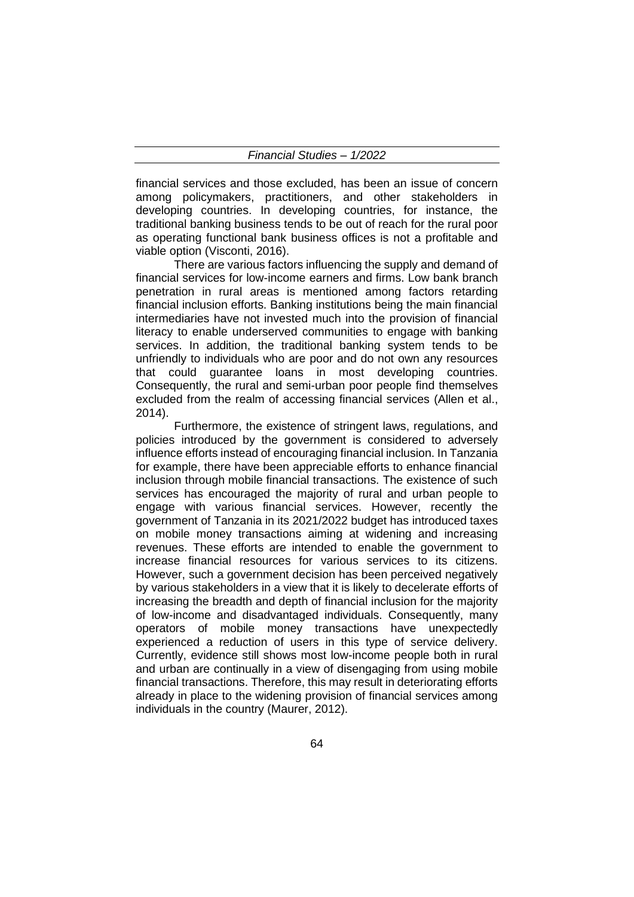financial services and those excluded, has been an issue of concern among policymakers, practitioners, and other stakeholders in developing countries. In developing countries, for instance, the traditional banking business tends to be out of reach for the rural poor as operating functional bank business offices is not a profitable and viable option (Visconti, 2016).

There are various factors influencing the supply and demand of financial services for low-income earners and firms. Low bank branch penetration in rural areas is mentioned among factors retarding financial inclusion efforts. Banking institutions being the main financial intermediaries have not invested much into the provision of financial literacy to enable underserved communities to engage with banking services. In addition, the traditional banking system tends to be unfriendly to individuals who are poor and do not own any resources that could guarantee loans in most developing countries. Consequently, the rural and semi-urban poor people find themselves excluded from the realm of accessing financial services (Allen et al., 2014).

Furthermore, the existence of stringent laws, regulations, and policies introduced by the government is considered to adversely influence efforts instead of encouraging financial inclusion. In Tanzania for example, there have been appreciable efforts to enhance financial inclusion through mobile financial transactions. The existence of such services has encouraged the majority of rural and urban people to engage with various financial services. However, recently the government of Tanzania in its 2021/2022 budget has introduced taxes on mobile money transactions aiming at widening and increasing revenues. These efforts are intended to enable the government to increase financial resources for various services to its citizens. However, such a government decision has been perceived negatively by various stakeholders in a view that it is likely to decelerate efforts of increasing the breadth and depth of financial inclusion for the majority of low-income and disadvantaged individuals. Consequently, many operators of mobile money transactions have unexpectedly experienced a reduction of users in this type of service delivery. Currently, evidence still shows most low-income people both in rural and urban are continually in a view of disengaging from using mobile financial transactions. Therefore, this may result in deteriorating efforts already in place to the widening provision of financial services among individuals in the country (Maurer, 2012).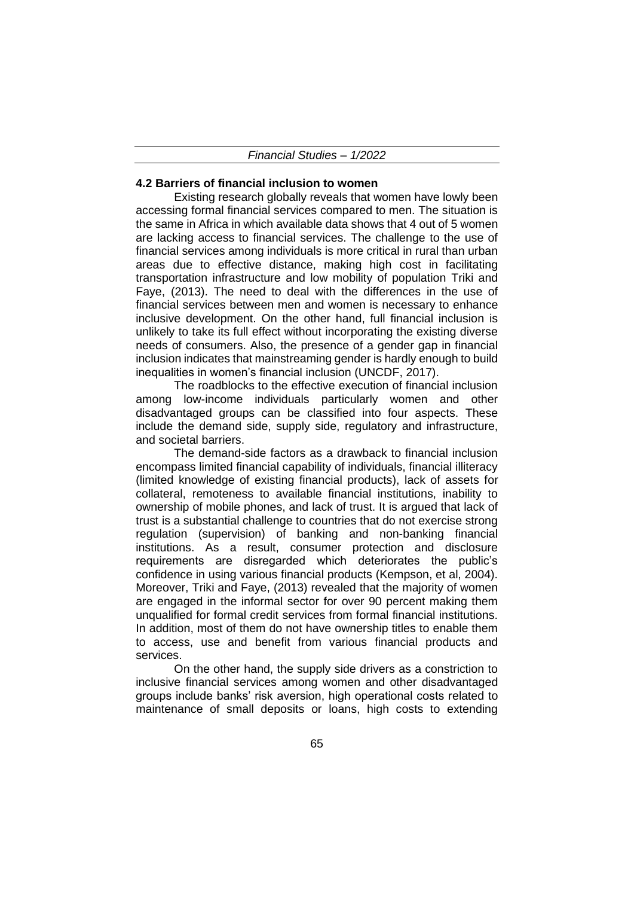#### **4.2 Barriers of financial inclusion to women**

Existing research globally reveals that women have lowly been accessing formal financial services compared to men. The situation is the same in Africa in which available data shows that 4 out of 5 women are lacking access to financial services. The challenge to the use of financial services among individuals is more critical in rural than urban areas due to effective distance, making high cost in facilitating transportation infrastructure and low mobility of population Triki and Faye, (2013). The need to deal with the differences in the use of financial services between men and women is necessary to enhance inclusive development. On the other hand, full financial inclusion is unlikely to take its full effect without incorporating the existing diverse needs of consumers. Also, the presence of a gender gap in financial inclusion indicates that mainstreaming gender is hardly enough to build inequalities in women's financial inclusion (UNCDF, 2017).

The roadblocks to the effective execution of financial inclusion among low-income individuals particularly women and other disadvantaged groups can be classified into four aspects. These include the demand side, supply side, regulatory and infrastructure, and societal barriers.

The demand-side factors as a drawback to financial inclusion encompass limited financial capability of individuals, financial illiteracy (limited knowledge of existing financial products), lack of assets for collateral, remoteness to available financial institutions, inability to ownership of mobile phones, and lack of trust. It is argued that lack of trust is a substantial challenge to countries that do not exercise strong regulation (supervision) of banking and non-banking financial institutions. As a result, consumer protection and disclosure requirements are disregarded which deteriorates the public's confidence in using various financial products (Kempson, et al, 2004). Moreover, Triki and Faye, (2013) revealed that the majority of women are engaged in the informal sector for over 90 percent making them unqualified for formal credit services from formal financial institutions. In addition, most of them do not have ownership titles to enable them to access, use and benefit from various financial products and services.

On the other hand, the supply side drivers as a constriction to inclusive financial services among women and other disadvantaged groups include banks' risk aversion, high operational costs related to maintenance of small deposits or loans, high costs to extending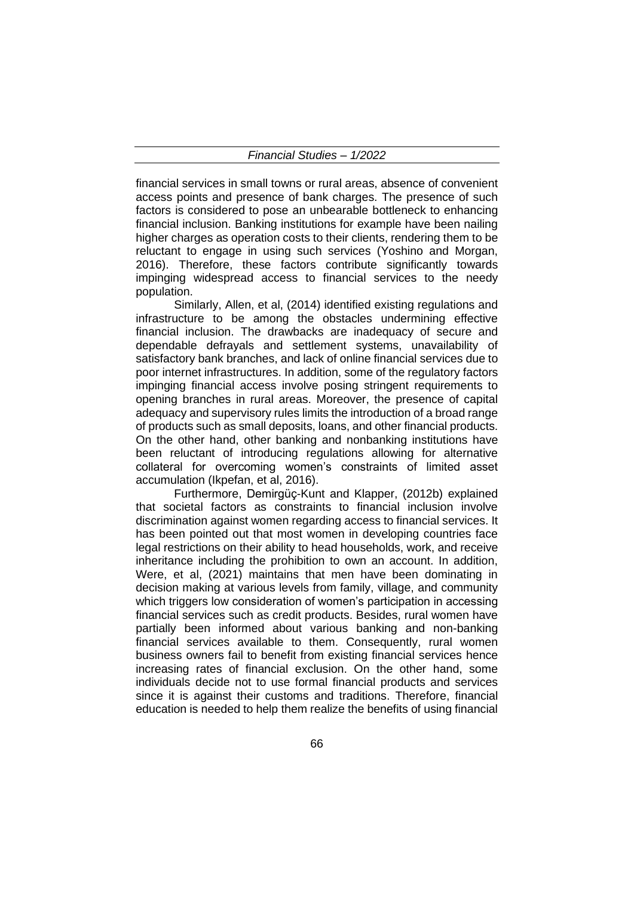financial services in small towns or rural areas, absence of convenient access points and presence of bank charges. The presence of such factors is considered to pose an unbearable bottleneck to enhancing financial inclusion. Banking institutions for example have been nailing higher charges as operation costs to their clients, rendering them to be reluctant to engage in using such services (Yoshino and Morgan, 2016). Therefore, these factors contribute significantly towards impinging widespread access to financial services to the needy population.

Similarly, Allen, et al, (2014) identified existing regulations and infrastructure to be among the obstacles undermining effective financial inclusion. The drawbacks are inadequacy of secure and dependable defrayals and settlement systems, unavailability of satisfactory bank branches, and lack of online financial services due to poor internet infrastructures. In addition, some of the regulatory factors impinging financial access involve posing stringent requirements to opening branches in rural areas. Moreover, the presence of capital adequacy and supervisory rules limits the introduction of a broad range of products such as small deposits, loans, and other financial products. On the other hand, other banking and nonbanking institutions have been reluctant of introducing regulations allowing for alternative collateral for overcoming women's constraints of limited asset accumulation (Ikpefan, et al, 2016).

Furthermore, Demirgüç-Kunt and Klapper, (2012b) explained that societal factors as constraints to financial inclusion involve discrimination against women regarding access to financial services. It has been pointed out that most women in developing countries face legal restrictions on their ability to head households, work, and receive inheritance including the prohibition to own an account. In addition, Were, et al, (2021) maintains that men have been dominating in decision making at various levels from family, village, and community which triggers low consideration of women's participation in accessing financial services such as credit products. Besides, rural women have partially been informed about various banking and non-banking financial services available to them. Consequently, rural women business owners fail to benefit from existing financial services hence increasing rates of financial exclusion. On the other hand, some individuals decide not to use formal financial products and services since it is against their customs and traditions. Therefore, financial education is needed to help them realize the benefits of using financial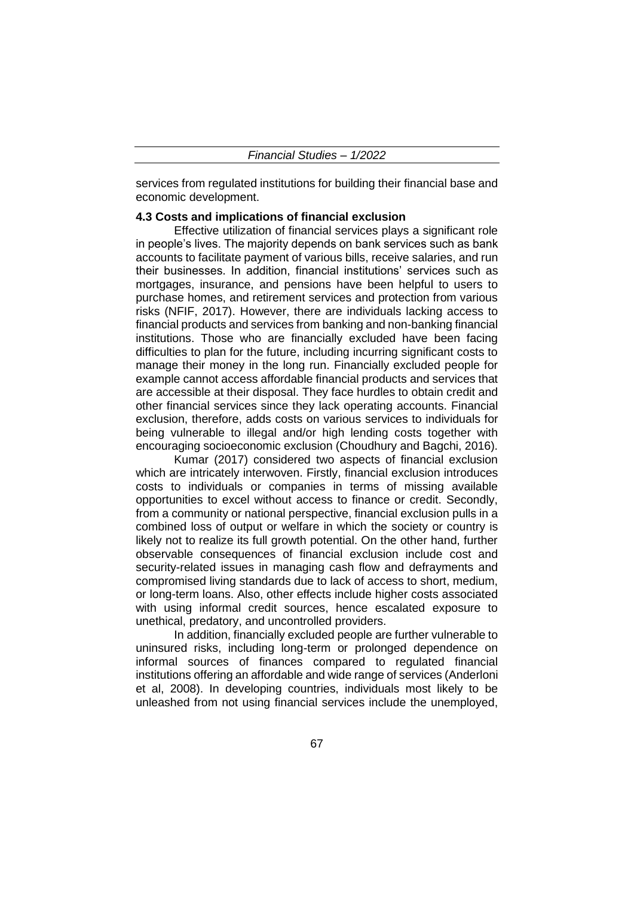services from regulated institutions for building their financial base and economic development.

## **4.3 Costs and implications of financial exclusion**

Effective utilization of financial services plays a significant role in people's lives. The majority depends on bank services such as bank accounts to facilitate payment of various bills, receive salaries, and run their businesses. In addition, financial institutions' services such as mortgages, insurance, and pensions have been helpful to users to purchase homes, and retirement services and protection from various risks (NFIF, 2017). However, there are individuals lacking access to financial products and services from banking and non-banking financial institutions. Those who are financially excluded have been facing difficulties to plan for the future, including incurring significant costs to manage their money in the long run. Financially excluded people for example cannot access affordable financial products and services that are accessible at their disposal. They face hurdles to obtain credit and other financial services since they lack operating accounts. Financial exclusion, therefore, adds costs on various services to individuals for being vulnerable to illegal and/or high lending costs together with encouraging socioeconomic exclusion (Choudhury and Bagchi, 2016).

Kumar (2017) considered two aspects of financial exclusion which are intricately interwoven. Firstly, financial exclusion introduces costs to individuals or companies in terms of missing available opportunities to excel without access to finance or credit. Secondly, from a community or national perspective, financial exclusion pulls in a combined loss of output or welfare in which the society or country is likely not to realize its full growth potential. On the other hand, further observable consequences of financial exclusion include cost and security-related issues in managing cash flow and defrayments and compromised living standards due to lack of access to short, medium, or long-term loans. Also, other effects include higher costs associated with using informal credit sources, hence escalated exposure to unethical, predatory, and uncontrolled providers.

In addition, financially excluded people are further vulnerable to uninsured risks, including long-term or prolonged dependence on informal sources of finances compared to regulated financial institutions offering an affordable and wide range of services (Anderloni et al, 2008). In developing countries, individuals most likely to be unleashed from not using financial services include the unemployed,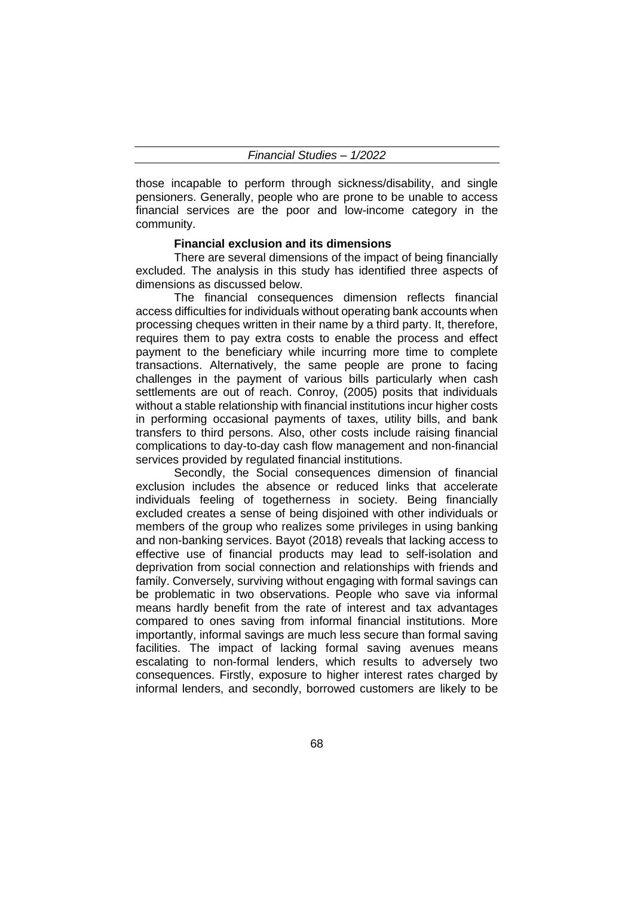those incapable to perform through sickness/disability, and single pensioners. Generally, people who are prone to be unable to access financial services are the poor and low-income category in the community.

#### **Financial exclusion and its dimensions**

There are several dimensions of the impact of being financially excluded. The analysis in this study has identified three aspects of dimensions as discussed below.

The financial consequences dimension reflects financial access difficulties for individuals without operating bank accounts when processing cheques written in their name by a third party. It, therefore, requires them to pay extra costs to enable the process and effect payment to the beneficiary while incurring more time to complete transactions. Alternatively, the same people are prone to facing challenges in the payment of various bills particularly when cash settlements are out of reach. Conroy, (2005) posits that individuals without a stable relationship with financial institutions incur higher costs in performing occasional payments of taxes, utility bills, and bank transfers to third persons. Also, other costs include raising financial complications to day-to-day cash flow management and non-financial services provided by regulated financial institutions.

Secondly, the Social consequences dimension of financial exclusion includes the absence or reduced links that accelerate individuals feeling of togetherness in society. Being financially excluded creates a sense of being disjoined with other individuals or members of the group who realizes some privileges in using banking and non-banking services. Bayot (2018) reveals that lacking access to effective use of financial products may lead to self-isolation and deprivation from social connection and relationships with friends and family. Conversely, surviving without engaging with formal savings can be problematic in two observations. People who save via informal means hardly benefit from the rate of interest and tax advantages compared to ones saving from informal financial institutions. More importantly, informal savings are much less secure than formal saving facilities. The impact of lacking formal saving avenues means escalating to non-formal lenders, which results to adversely two consequences. Firstly, exposure to higher interest rates charged by informal lenders, and secondly, borrowed customers are likely to be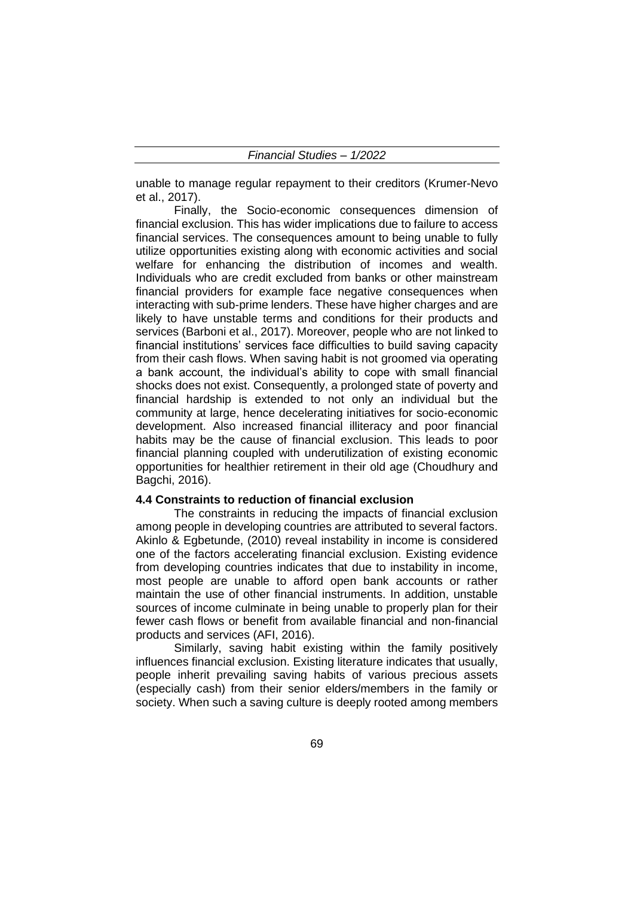unable to manage regular repayment to their creditors (Krumer-Nevo et al., 2017).

Finally, the Socio-economic consequences dimension of financial exclusion. This has wider implications due to failure to access financial services. The consequences amount to being unable to fully utilize opportunities existing along with economic activities and social welfare for enhancing the distribution of incomes and wealth. Individuals who are credit excluded from banks or other mainstream financial providers for example face negative consequences when interacting with sub-prime lenders. These have higher charges and are likely to have unstable terms and conditions for their products and services (Barboni et al., 2017). Moreover, people who are not linked to financial institutions' services face difficulties to build saving capacity from their cash flows. When saving habit is not groomed via operating a bank account, the individual's ability to cope with small financial shocks does not exist. Consequently, a prolonged state of poverty and financial hardship is extended to not only an individual but the community at large, hence decelerating initiatives for socio-economic development. Also increased financial illiteracy and poor financial habits may be the cause of financial exclusion. This leads to poor financial planning coupled with underutilization of existing economic opportunities for healthier retirement in their old age (Choudhury and Bagchi, 2016).

## **4.4 Constraints to reduction of financial exclusion**

The constraints in reducing the impacts of financial exclusion among people in developing countries are attributed to several factors. Akinlo & Egbetunde, (2010) reveal instability in income is considered one of the factors accelerating financial exclusion. Existing evidence from developing countries indicates that due to instability in income, most people are unable to afford open bank accounts or rather maintain the use of other financial instruments. In addition, unstable sources of income culminate in being unable to properly plan for their fewer cash flows or benefit from available financial and non-financial products and services (AFI, 2016).

Similarly, saving habit existing within the family positively influences financial exclusion. Existing literature indicates that usually, people inherit prevailing saving habits of various precious assets (especially cash) from their senior elders/members in the family or society. When such a saving culture is deeply rooted among members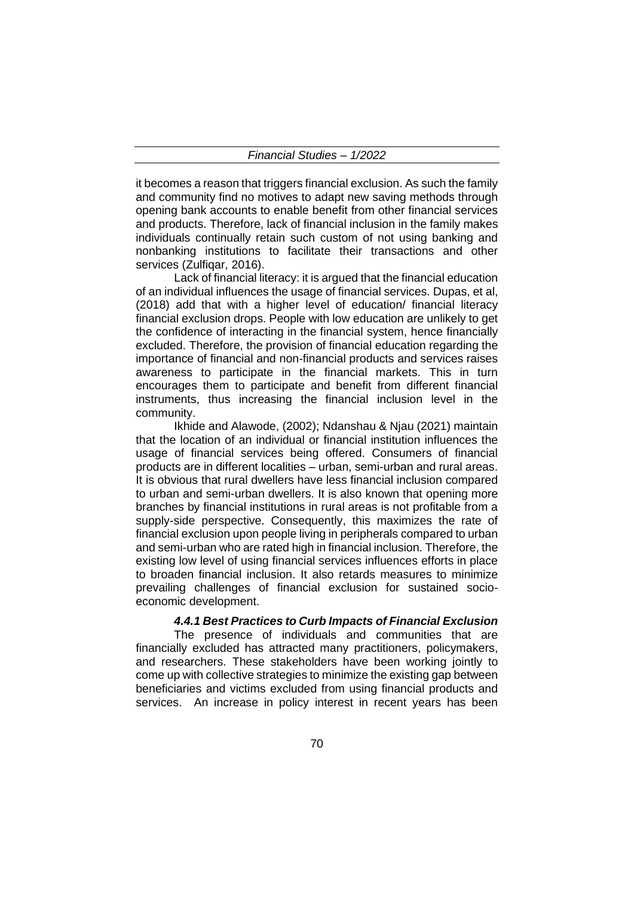it becomes a reason that triggers financial exclusion. As such the family and community find no motives to adapt new saving methods through opening bank accounts to enable benefit from other financial services and products. Therefore, lack of financial inclusion in the family makes individuals continually retain such custom of not using banking and nonbanking institutions to facilitate their transactions and other services (Zulfigar, 2016).

Lack of financial literacy: it is argued that the financial education of an individual influences the usage of financial services. Dupas, et al, (2018) add that with a higher level of education/ financial literacy financial exclusion drops. People with low education are unlikely to get the confidence of interacting in the financial system, hence financially excluded. Therefore, the provision of financial education regarding the importance of financial and non-financial products and services raises awareness to participate in the financial markets. This in turn encourages them to participate and benefit from different financial instruments, thus increasing the financial inclusion level in the community.

Ikhide and Alawode, (2002); Ndanshau & Njau (2021) maintain that the location of an individual or financial institution influences the usage of financial services being offered. Consumers of financial products are in different localities – urban, semi-urban and rural areas. It is obvious that rural dwellers have less financial inclusion compared to urban and semi-urban dwellers. It is also known that opening more branches by financial institutions in rural areas is not profitable from a supply-side perspective. Consequently, this maximizes the rate of financial exclusion upon people living in peripherals compared to urban and semi-urban who are rated high in financial inclusion. Therefore, the existing low level of using financial services influences efforts in place to broaden financial inclusion. It also retards measures to minimize prevailing challenges of financial exclusion for sustained socioeconomic development.

#### *4.4.1 Best Practices to Curb Impacts of Financial Exclusion*

The presence of individuals and communities that are financially excluded has attracted many practitioners, policymakers, and researchers. These stakeholders have been working jointly to come up with collective strategies to minimize the existing gap between beneficiaries and victims excluded from using financial products and services. An increase in policy interest in recent years has been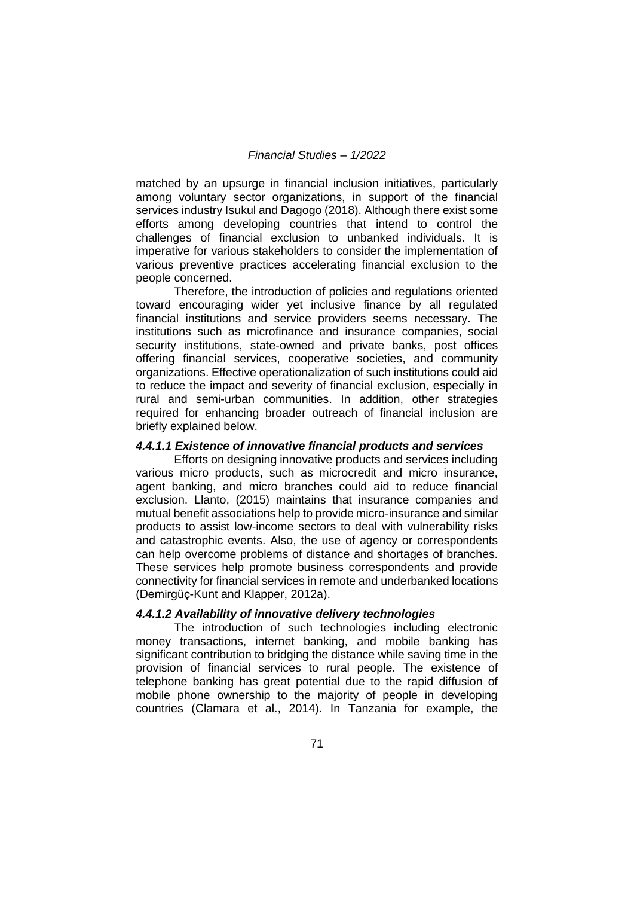matched by an upsurge in financial inclusion initiatives, particularly among voluntary sector organizations, in support of the financial services industry Isukul and Dagogo (2018). Although there exist some efforts among developing countries that intend to control the challenges of financial exclusion to unbanked individuals. It is imperative for various stakeholders to consider the implementation of various preventive practices accelerating financial exclusion to the people concerned.

Therefore, the introduction of policies and regulations oriented toward encouraging wider yet inclusive finance by all regulated financial institutions and service providers seems necessary. The institutions such as microfinance and insurance companies, social security institutions, state-owned and private banks, post offices offering financial services, cooperative societies, and community organizations. Effective operationalization of such institutions could aid to reduce the impact and severity of financial exclusion, especially in rural and semi-urban communities. In addition, other strategies required for enhancing broader outreach of financial inclusion are briefly explained below.

#### *4.4.1.1 Existence of innovative financial products and services*

Efforts on designing innovative products and services including various micro products, such as microcredit and micro insurance, agent banking, and micro branches could aid to reduce financial exclusion. Llanto, (2015) maintains that insurance companies and mutual benefit associations help to provide micro-insurance and similar products to assist low-income sectors to deal with vulnerability risks and catastrophic events. Also, the use of agency or correspondents can help overcome problems of distance and shortages of branches. These services help promote business correspondents and provide connectivity for financial services in remote and underbanked locations (Demirgüç-Kunt and Klapper, 2012a).

## *4.4.1.2 Availability of innovative delivery technologies*

The introduction of such technologies including electronic money transactions, internet banking, and mobile banking has significant contribution to bridging the distance while saving time in the provision of financial services to rural people. The existence of telephone banking has great potential due to the rapid diffusion of mobile phone ownership to the majority of people in developing countries (Clamara et al., 2014). In Tanzania for example, the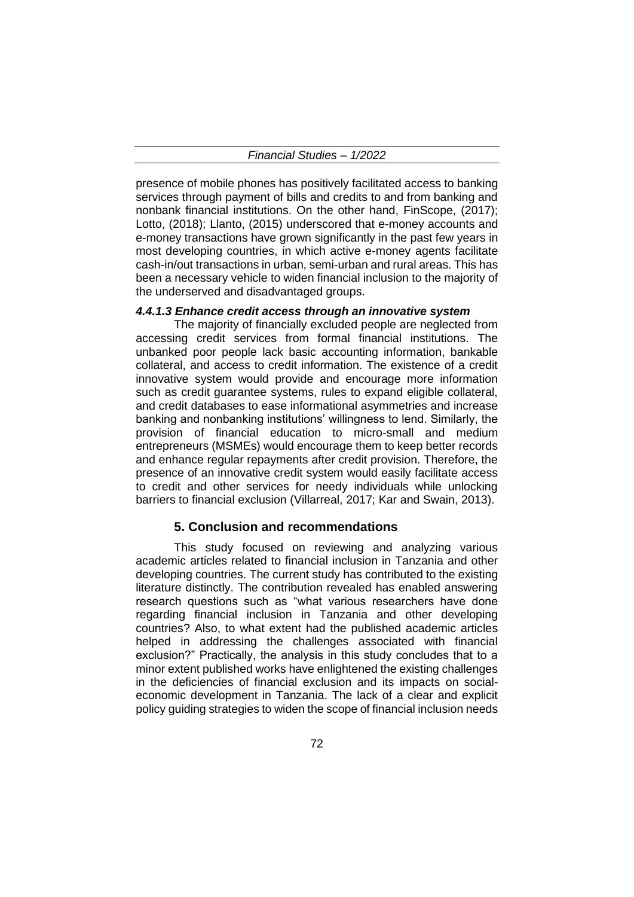presence of mobile phones has positively facilitated access to banking services through payment of bills and credits to and from banking and nonbank financial institutions. On the other hand, FinScope, (2017); Lotto, (2018); Llanto, (2015) underscored that e-money accounts and e-money transactions have grown significantly in the past few years in most developing countries, in which active e-money agents facilitate cash-in/out transactions in urban, semi-urban and rural areas. This has been a necessary vehicle to widen financial inclusion to the majority of the underserved and disadvantaged groups.

### *4.4.1.3 Enhance credit access through an innovative system*

The majority of financially excluded people are neglected from accessing credit services from formal financial institutions. The unbanked poor people lack basic accounting information, bankable collateral, and access to credit information. The existence of a credit innovative system would provide and encourage more information such as credit guarantee systems, rules to expand eligible collateral, and credit databases to ease informational asymmetries and increase banking and nonbanking institutions' willingness to lend. Similarly, the provision of financial education to micro-small and medium entrepreneurs (MSMEs) would encourage them to keep better records and enhance regular repayments after credit provision. Therefore, the presence of an innovative credit system would easily facilitate access to credit and other services for needy individuals while unlocking barriers to financial exclusion (Villarreal, 2017; Kar and Swain, 2013).

#### **5. Conclusion and recommendations**

This study focused on reviewing and analyzing various academic articles related to financial inclusion in Tanzania and other developing countries. The current study has contributed to the existing literature distinctly. The contribution revealed has enabled answering research questions such as "what various researchers have done regarding financial inclusion in Tanzania and other developing countries? Also, to what extent had the published academic articles helped in addressing the challenges associated with financial exclusion?" Practically, the analysis in this study concludes that to a minor extent published works have enlightened the existing challenges in the deficiencies of financial exclusion and its impacts on socialeconomic development in Tanzania. The lack of a clear and explicit policy guiding strategies to widen the scope of financial inclusion needs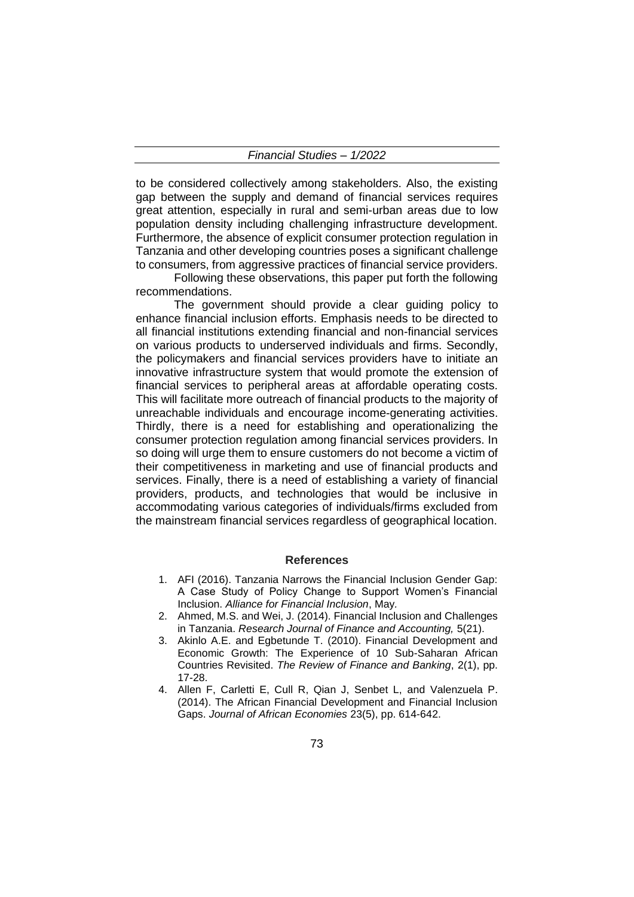to be considered collectively among stakeholders. Also, the existing gap between the supply and demand of financial services requires great attention, especially in rural and semi-urban areas due to low population density including challenging infrastructure development. Furthermore, the absence of explicit consumer protection regulation in Tanzania and other developing countries poses a significant challenge to consumers, from aggressive practices of financial service providers.

Following these observations, this paper put forth the following recommendations.

The government should provide a clear guiding policy to enhance financial inclusion efforts. Emphasis needs to be directed to all financial institutions extending financial and non-financial services on various products to underserved individuals and firms. Secondly, the policymakers and financial services providers have to initiate an innovative infrastructure system that would promote the extension of financial services to peripheral areas at affordable operating costs. This will facilitate more outreach of financial products to the majority of unreachable individuals and encourage income-generating activities. Thirdly, there is a need for establishing and operationalizing the consumer protection regulation among financial services providers. In so doing will urge them to ensure customers do not become a victim of their competitiveness in marketing and use of financial products and services. Finally, there is a need of establishing a variety of financial providers, products, and technologies that would be inclusive in accommodating various categories of individuals/firms excluded from the mainstream financial services regardless of geographical location.

## **References**

- 1. AFI (2016). Tanzania Narrows the Financial Inclusion Gender Gap: A Case Study of Policy Change to Support Women's Financial Inclusion. *Alliance for Financial Inclusion*, May*.*
- 2. Ahmed, M.S. and Wei, J. (2014). Financial Inclusion and Challenges in Tanzania. *Research Journal of Finance and Accounting,* 5(21).
- 3. Akinlo A.E. and Egbetunde T. (2010). Financial Development and Economic Growth: The Experience of 10 Sub-Saharan African Countries Revisited. *The Review of Finance and Banking*, 2(1), pp. 17-28.
- 4. Allen F, Carletti E, Cull R, Qian J, Senbet L, and Valenzuela P. (2014). The African Financial Development and Financial Inclusion Gaps. *Journal of African Economies* 23(5), pp. 614-642.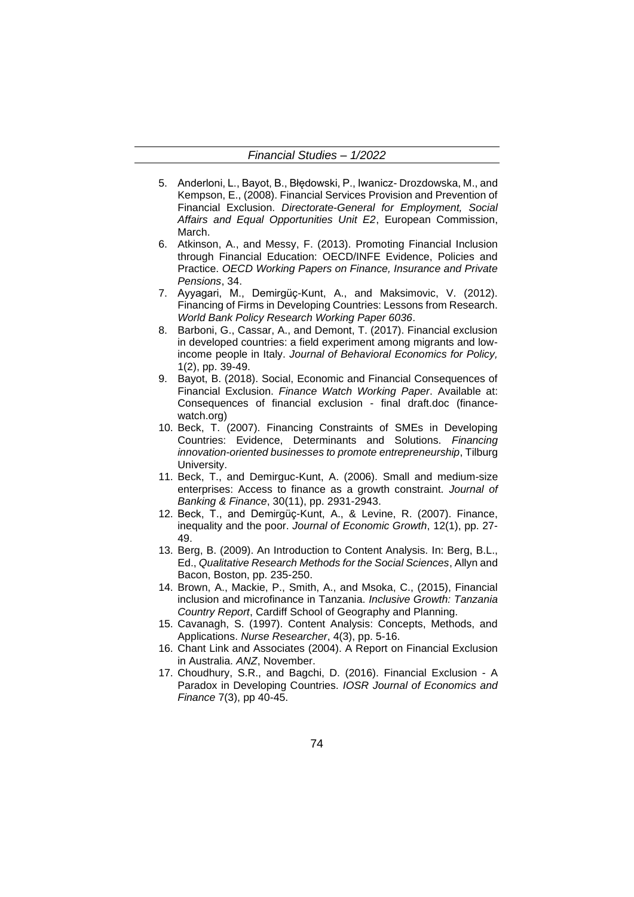- 5. Anderloni, L., Bayot, B., Błędowski, P., Iwanicz- Drozdowska, M., and Kempson, E., (2008). Financial Services Provision and Prevention of Financial Exclusion. *Directorate-General for Employment, Social Affairs and Equal Opportunities Unit E2*, European Commission, March.
- 6. Atkinson, A., and Messy, F. (2013). Promoting Financial Inclusion through Financial Education: OECD/INFE Evidence, Policies and Practice. *OECD Working Papers on Finance, Insurance and Private Pensions*, 34.
- 7. Ayyagari, M., Demirgüç-Kunt, A., and Maksimovic, V. (2012). Financing of Firms in Developing Countries: Lessons from Research. *World Bank Policy Research Working Paper 6036*.
- 8. Barboni, G., Cassar, A., and Demont, T. (2017). Financial exclusion in developed countries: a field experiment among migrants and lowincome people in Italy. *Journal of Behavioral Economics for Policy,* 1(2), pp. 39-49.
- 9. Bayot, B. (2018). Social, Economic and Financial Consequences of Financial Exclusion. *Finance Watch Working Paper*. Available at: Consequences of financial exclusion - final draft.doc (financewatch.org)
- 10. Beck, T. (2007). Financing Constraints of SMEs in Developing Countries: Evidence, Determinants and Solutions. *Financing innovation-oriented businesses to promote entrepreneurship*, Tilburg University.
- 11. Beck, T., and Demirguc-Kunt, A. (2006). Small and medium-size enterprises: Access to finance as a growth constraint. *Journal of Banking & Finance*, 30(11), pp. 2931-2943.
- 12. Beck, T., and Demirgüç-Kunt, A., & Levine, R. (2007). Finance, inequality and the poor. *Journal of Economic Growth*, 12(1), pp. 27- 49.
- 13. Berg, B. (2009). An Introduction to Content Analysis. In: Berg, B.L., Ed., *Qualitative Research Methods for the Social Sciences*, Allyn and Bacon, Boston, pp. 235-250.
- 14. Brown, A., Mackie, P., Smith, A., and Msoka, C., (2015), Financial inclusion and microfinance in Tanzania. *Inclusive Growth: Tanzania Country Report*, Cardiff School of Geography and Planning.
- 15. Cavanagh, S. (1997). Content Analysis: Concepts, Methods, and Applications. *Nurse Researcher*, 4(3), pp. 5-16.
- 16. Chant Link and Associates (2004). A Report on Financial Exclusion in Australia. *ANZ*, November.
- 17. Choudhury, S.R., and Bagchi, D. (2016). Financial Exclusion A Paradox in Developing Countries. *IOSR Journal of Economics and Finance* 7(3), pp 40-45.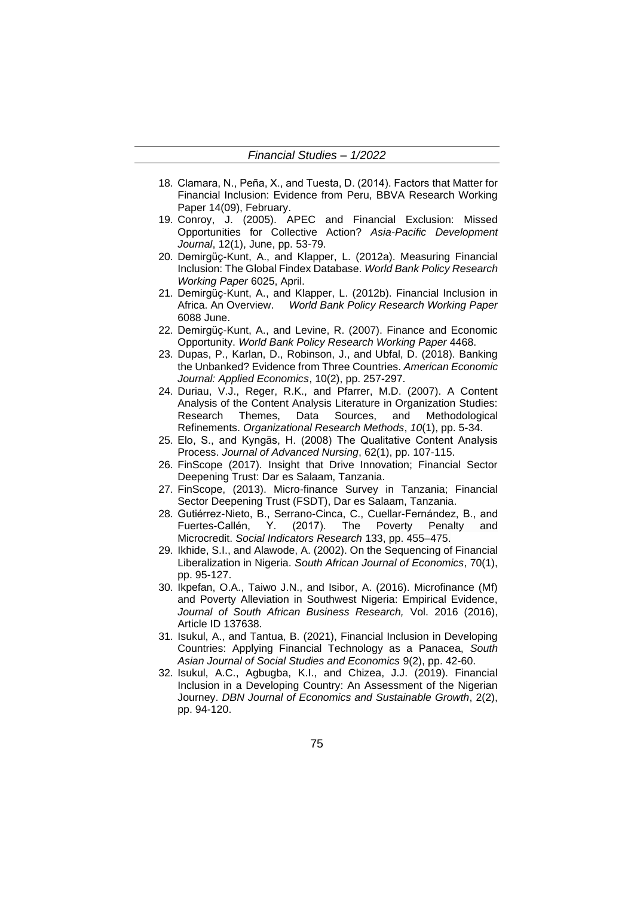- 18. Clamara, N., Peña, X., and Tuesta, D. (2014). Factors that Matter for Financial Inclusion: Evidence from Peru, BBVA Research Working Paper 14(09), February.
- 19. Conroy, J. (2005). APEC and Financial Exclusion: Missed Opportunities for Collective Action? *Asia-Pacific Development Journal*, 12(1), June, pp. 53-79.
- 20. Demirgüç-Kunt, A., and Klapper, L. (2012a). Measuring Financial Inclusion: The Global Findex Database. *World Bank Policy Research Working Paper* 6025, April.
- 21. Demirgüç-Kunt, A., and Klapper, L. (2012b). Financial Inclusion in Africa. An Overview. *World Bank Policy Research Working Paper* 6088 June.
- 22. Demirgüç-Kunt, A., and Levine, R. (2007). Finance and Economic Opportunity. *World Bank Policy Research Working Paper* 4468.
- 23. Dupas, P., Karlan, D., Robinson, J., and Ubfal, D. (2018). Banking the Unbanked? Evidence from Three Countries. *American Economic Journal: Applied Economics*, 10(2), pp. 257-297.
- 24. Duriau, V.J., Reger, R.K., and Pfarrer, M.D. (2007). A Content Analysis of the Content Analysis Literature in Organization Studies: Research Themes, Data Sources, and Methodological Refinements. *Organizational Research Methods*, *10*(1), pp. 5-34.
- 25. Elo, S., and Kyngäs, H. (2008) The Qualitative Content Analysis Process. *Journal of Advanced Nursing*, 62(1), pp. 107-115.
- 26. FinScope (2017). Insight that Drive Innovation; Financial Sector Deepening Trust: Dar es Salaam, Tanzania.
- 27. FinScope, (2013). Micro-finance Survey in Tanzania; Financial Sector Deepening Trust (FSDT), Dar es Salaam, Tanzania.
- 28. Gutiérrez-Nieto, B., Serrano-Cinca, C., Cuellar-Fernández, B., and Fuertes-Callén, Y. (2017). The Poverty Penalty and Microcredit. *Social Indicators Research* 133, pp. 455–475.
- 29. Ikhide, S.I., and Alawode, A. (2002). On the Sequencing of Financial Liberalization in Nigeria. *South African Journal of Economics*, 70(1), pp. 95-127.
- 30. Ikpefan, O.A., Taiwo J.N., and Isibor, A. (2016). Microfinance (Mf) and Poverty Alleviation in Southwest Nigeria: Empirical Evidence, *Journal of South African Business Research,* Vol. 2016 (2016), Article ID 137638.
- 31. Isukul, A., and Tantua, B. (2021), Financial Inclusion in Developing Countries: Applying Financial Technology as a Panacea, *South Asian Journal of Social Studies and Economics* 9(2), pp. 42-60.
- 32. Isukul, A.C., Agbugba, K.I., and Chizea, J.J. (2019). Financial Inclusion in a Developing Country: An Assessment of the Nigerian Journey. *DBN Journal of Economics and Sustainable Growth*, 2(2), pp. 94-120.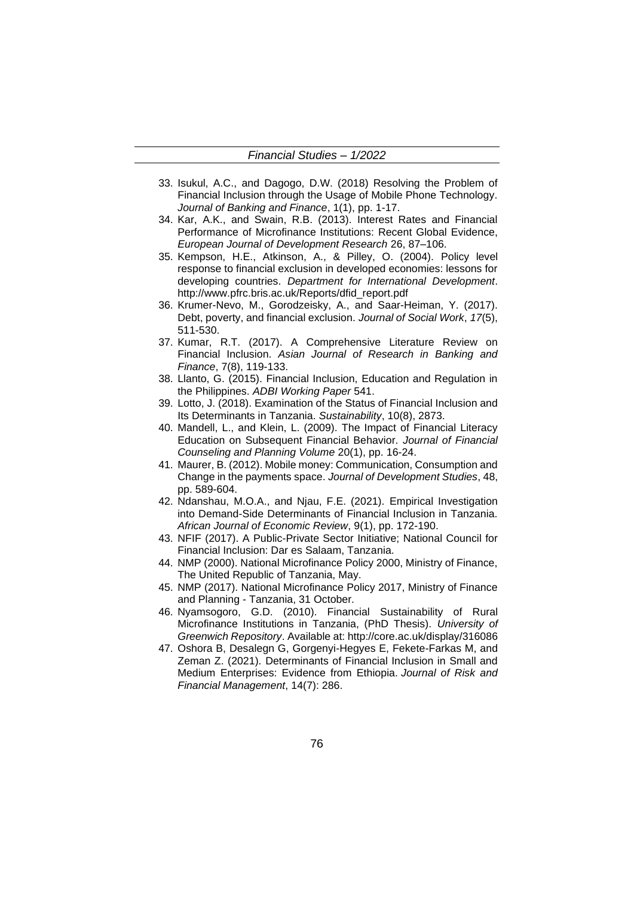- 33. Isukul, A.C., and Dagogo, D.W. (2018) Resolving the Problem of Financial Inclusion through the Usage of Mobile Phone Technology. *Journal of Banking and Finance*, 1(1), pp. 1-17.
- 34. Kar, A.K., and Swain, R.B. (2013). Interest Rates and Financial Performance of Microfinance Institutions: Recent Global Evidence, *European Journal of Development Research* 26, 87–106.
- 35. Kempson, H.E., Atkinson, A., & Pilley, O. (2004). Policy level response to financial exclusion in developed economies: lessons for developing countries. *Department for International Development*. http://www.pfrc.bris.ac.uk/Reports/dfid\_report.pdf
- 36. Krumer-Nevo, M., Gorodzeisky, A., and Saar-Heiman, Y. (2017). Debt, poverty, and financial exclusion. *Journal of Social Work*, *17*(5), 511-530.
- 37. Kumar, R.T. (2017). A Comprehensive Literature Review on Financial Inclusion. *Asian Journal of Research in Banking and Finance*, 7(8), 119-133.
- 38. Llanto, G. (2015). Financial Inclusion, Education and Regulation in the Philippines. *ADBI Working Paper* 541.
- 39. Lotto, J. (2018). Examination of the Status of Financial Inclusion and Its Determinants in Tanzania. *Sustainability*, 10(8), 2873.
- 40. Mandell, L., and Klein, L. (2009). The Impact of Financial Literacy Education on Subsequent Financial Behavior. *Journal of Financial Counseling and Planning Volume* 20(1), pp. 16-24.
- 41. Maurer, B. (2012). Mobile money: Communication, Consumption and Change in the payments space. *Journal of Development Studies*, 48, pp. 589-604.
- 42. Ndanshau, M.O.A., and Njau, F.E. (2021). Empirical Investigation into Demand-Side Determinants of Financial Inclusion in Tanzania. *African Journal of Economic Review*, 9(1), pp. 172-190.
- 43. NFIF (2017). A Public-Private Sector Initiative; National Council for Financial Inclusion: Dar es Salaam, Tanzania.
- 44. NMP (2000). National Microfinance Policy 2000, Ministry of Finance, The United Republic of Tanzania, May.
- 45. NMP (2017). National Microfinance Policy 2017, Ministry of Finance and Planning - Tanzania, 31 October.
- 46. Nyamsogoro, G.D. (2010). Financial Sustainability of Rural Microfinance Institutions in Tanzania, (PhD Thesis). *University of Greenwich Repository*. Available at: http://core.ac.uk/display/316086
- 47. Oshora B, Desalegn G, Gorgenyi-Hegyes E, Fekete-Farkas M, and Zeman Z. (2021). Determinants of Financial Inclusion in Small and Medium Enterprises: Evidence from Ethiopia. *Journal of Risk and Financial Management*, 14(7): 286.